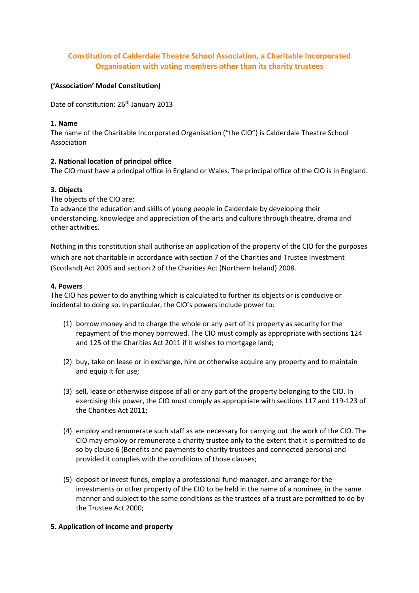# **Constitution of Calderdale Theatre School Association, a Charitable Incorporated Organisation with voting members other than its charity trustees**

# **('Association' Model Constitution)**

Date of constitution: 26<sup>th</sup> January 2013

# **1. Name**

The name of the Charitable Incorporated Organisation ("the CIO") is Calderdale Theatre School Association

# **2. National location of principal office**

The CIO must have a principal office in England or Wales. The principal office of the CIO is in England.

# **3. Objects**

The objects of the CIO are:

To advance the education and skills of young people in Calderdale by developing their understanding, knowledge and appreciation of the arts and culture through theatre, drama and other activities.

Nothing in this constitution shall authorise an application of the property of the CIO for the purposes which are not charitable in accordance with section 7 of the Charities and Trustee Investment (Scotland) Act 2005 and section 2 of the Charities Act (Northern Ireland) 2008.

### **4. Powers**

The CIO has power to do anything which is calculated to further its objects or is conducive or incidental to doing so. In particular, the CIO's powers include power to:

- (1) borrow money and to charge the whole or any part of its property as security for the repayment of the money borrowed. The CIO must comply as appropriate with sections 124 and 125 of the Charities Act 2011 if it wishes to mortgage land;
- (2) buy, take on lease or in exchange, hire or otherwise acquire any property and to maintain and equip it for use;
- (3) sell, lease or otherwise dispose of all or any part of the property belonging to the CIO. In exercising this power, the CIO must comply as appropriate with sections 117 and 119-123 of the Charities Act 2011;
- (4) employ and remunerate such staff as are necessary for carrying out the work of the CIO. The CIO may employ or remunerate a charity trustee only to the extent that it is permitted to do so by clause 6 (Benefits and payments to charity trustees and connected persons) and provided it complies with the conditions of those clauses;
- (5) deposit or invest funds, employ a professional fund-manager, and arrange for the investments or other property of the CIO to be held in the name of a nominee, in the same manner and subject to the same conditions as the trustees of a trust are permitted to do by the Trustee Act 2000;

# **5. Application of income and property**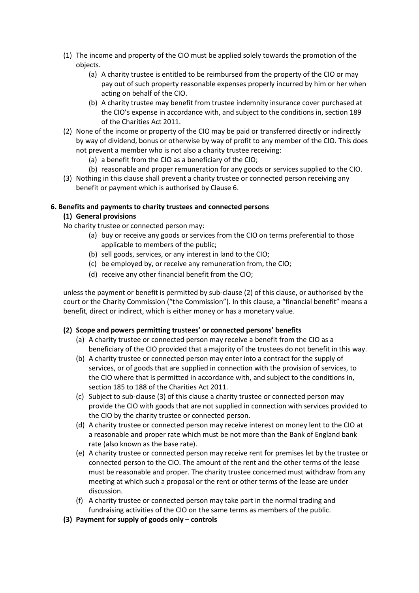- (1) The income and property of the CIO must be applied solely towards the promotion of the objects.
	- (a) A charity trustee is entitled to be reimbursed from the property of the CIO or may pay out of such property reasonable expenses properly incurred by him or her when acting on behalf of the CIO.
	- (b) A charity trustee may benefit from trustee indemnity insurance cover purchased at the CIO's expense in accordance with, and subject to the conditions in, section 189 of the Charities Act 2011.
- (2) None of the income or property of the CIO may be paid or transferred directly or indirectly by way of dividend, bonus or otherwise by way of profit to any member of the CIO. This does not prevent a member who is not also a charity trustee receiving:
	- (a) a benefit from the CIO as a beneficiary of the CIO;
	- (b) reasonable and proper remuneration for any goods or services supplied to the CIO.
- (3) Nothing in this clause shall prevent a charity trustee or connected person receiving any benefit or payment which is authorised by Clause 6.

# **6. Benefits and payments to charity trustees and connected persons**

# **(1) General provisions**

No charity trustee or connected person may:

- (a) buy or receive any goods or services from the CIO on terms preferential to those applicable to members of the public;
- (b) sell goods, services, or any interest in land to the CIO;
- (c) be employed by, or receive any remuneration from, the CIO;
- (d) receive any other financial benefit from the CIO;

unless the payment or benefit is permitted by sub-clause (2) of this clause, or authorised by the court or the Charity Commission ("the Commission"). In this clause, a "financial benefit" means a benefit, direct or indirect, which is either money or has a monetary value.

# **(2) Scope and powers permitting trustees' or connected persons' benefits**

- (a) A charity trustee or connected person may receive a benefit from the CIO as a beneficiary of the CIO provided that a majority of the trustees do not benefit in this way.
- (b) A charity trustee or connected person may enter into a contract for the supply of services, or of goods that are supplied in connection with the provision of services, to the CIO where that is permitted in accordance with, and subject to the conditions in, section 185 to 188 of the Charities Act 2011.
- (c) Subject to sub-clause (3) of this clause a charity trustee or connected person may provide the CIO with goods that are not supplied in connection with services provided to the CIO by the charity trustee or connected person.
- (d) A charity trustee or connected person may receive interest on money lent to the CIO at a reasonable and proper rate which must be not more than the Bank of England bank rate (also known as the base rate).
- (e) A charity trustee or connected person may receive rent for premises let by the trustee or connected person to the CIO. The amount of the rent and the other terms of the lease must be reasonable and proper. The charity trustee concerned must withdraw from any meeting at which such a proposal or the rent or other terms of the lease are under discussion.
- (f) A charity trustee or connected person may take part in the normal trading and fundraising activities of the CIO on the same terms as members of the public.
- **(3) Payment for supply of goods only – controls**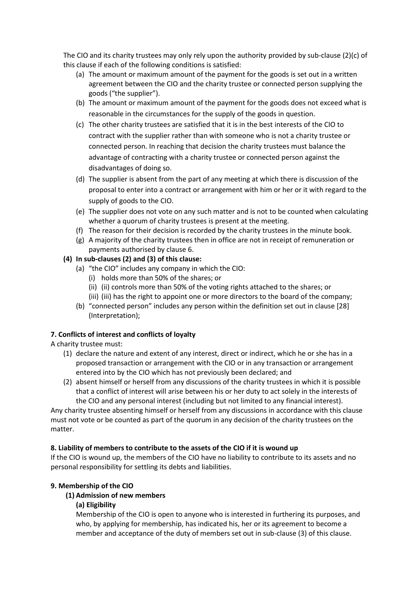The CIO and its charity trustees may only rely upon the authority provided by sub-clause (2)(c) of this clause if each of the following conditions is satisfied:

- (a) The amount or maximum amount of the payment for the goods is set out in a written agreement between the CIO and the charity trustee or connected person supplying the goods ("the supplier").
- (b) The amount or maximum amount of the payment for the goods does not exceed what is reasonable in the circumstances for the supply of the goods in question.
- (c) The other charity trustees are satisfied that it is in the best interests of the CIO to contract with the supplier rather than with someone who is not a charity trustee or connected person. In reaching that decision the charity trustees must balance the advantage of contracting with a charity trustee or connected person against the disadvantages of doing so.
- (d) The supplier is absent from the part of any meeting at which there is discussion of the proposal to enter into a contract or arrangement with him or her or it with regard to the supply of goods to the CIO.
- (e) The supplier does not vote on any such matter and is not to be counted when calculating whether a quorum of charity trustees is present at the meeting.
- (f) The reason for their decision is recorded by the charity trustees in the minute book.
- (g) A majority of the charity trustees then in office are not in receipt of remuneration or payments authorised by clause 6.

# **(4) In sub-clauses (2) and (3) of this clause:**

- (a) "the CIO" includes any company in which the CIO:
	- (i) holds more than 50% of the shares; or
	- (ii) (ii) controls more than 50% of the voting rights attached to the shares; or
	- (iii) (iii) has the right to appoint one or more directors to the board of the company;
- (b) "connected person" includes any person within the definition set out in clause [28] (Interpretation);

# **7. Conflicts of interest and conflicts of loyalty**

# A charity trustee must:

- (1) declare the nature and extent of any interest, direct or indirect, which he or she has in a proposed transaction or arrangement with the CIO or in any transaction or arrangement entered into by the CIO which has not previously been declared; and
- (2) absent himself or herself from any discussions of the charity trustees in which it is possible that a conflict of interest will arise between his or her duty to act solely in the interests of the CIO and any personal interest (including but not limited to any financial interest).

Any charity trustee absenting himself or herself from any discussions in accordance with this clause must not vote or be counted as part of the quorum in any decision of the charity trustees on the matter.

# **8. Liability of members to contribute to the assets of the CIO if it is wound up**

If the CIO is wound up, the members of the CIO have no liability to contribute to its assets and no personal responsibility for settling its debts and liabilities.

# **9. Membership of the CIO**

# **(1) Admission of new members**

**(a) Eligibility**

Membership of the CIO is open to anyone who is interested in furthering its purposes, and who, by applying for membership, has indicated his, her or its agreement to become a member and acceptance of the duty of members set out in sub-clause (3) of this clause.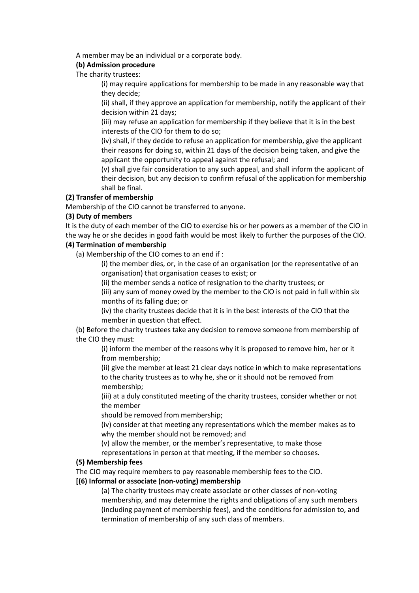A member may be an individual or a corporate body.

# **(b) Admission procedure**

# The charity trustees:

(i) may require applications for membership to be made in any reasonable way that they decide;

(ii) shall, if they approve an application for membership, notify the applicant of their decision within 21 days;

(iii) may refuse an application for membership if they believe that it is in the best interests of the CIO for them to do so;

(iv) shall, if they decide to refuse an application for membership, give the applicant their reasons for doing so, within 21 days of the decision being taken, and give the applicant the opportunity to appeal against the refusal; and

(v) shall give fair consideration to any such appeal, and shall inform the applicant of their decision, but any decision to confirm refusal of the application for membership shall be final.

# **(2) Transfer of membership**

Membership of the CIO cannot be transferred to anyone.

# **(3) Duty of members**

It is the duty of each member of the CIO to exercise his or her powers as a member of the CIO in the way he or she decides in good faith would be most likely to further the purposes of the CIO.

# **(4) Termination of membership**

(a) Membership of the CIO comes to an end if :

(i) the member dies, or, in the case of an organisation (or the representative of an organisation) that organisation ceases to exist; or

(ii) the member sends a notice of resignation to the charity trustees; or

(iii) any sum of money owed by the member to the CIO is not paid in full within six months of its falling due; or

(iv) the charity trustees decide that it is in the best interests of the CIO that the member in question that effect.

(b) Before the charity trustees take any decision to remove someone from membership of the CIO they must:

(i) inform the member of the reasons why it is proposed to remove him, her or it from membership;

(ii) give the member at least 21 clear days notice in which to make representations to the charity trustees as to why he, she or it should not be removed from membership;

(iii) at a duly constituted meeting of the charity trustees, consider whether or not the member

should be removed from membership;

(iv) consider at that meeting any representations which the member makes as to why the member should not be removed; and

(v) allow the member, or the member's representative, to make those

representations in person at that meeting, if the member so chooses.

### **(5) Membership fees**

The CIO may require members to pay reasonable membership fees to the CIO.

### **[(6) Informal or associate (non-voting) membership**

(a) The charity trustees may create associate or other classes of non-voting membership, and may determine the rights and obligations of any such members (including payment of membership fees), and the conditions for admission to, and termination of membership of any such class of members.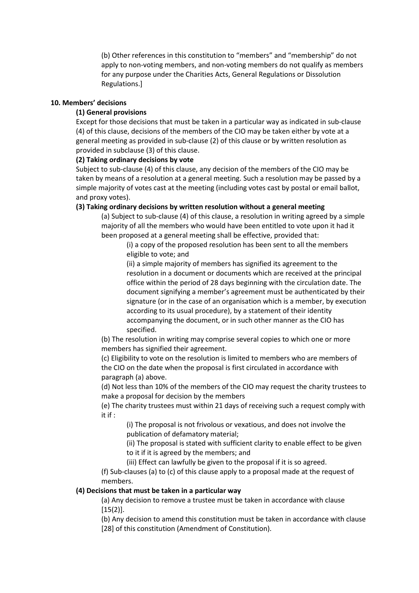(b) Other references in this constitution to "members" and "membership" do not apply to non-voting members, and non-voting members do not qualify as members for any purpose under the Charities Acts, General Regulations or Dissolution Regulations.]

### **10. Members' decisions**

# **(1) General provisions**

Except for those decisions that must be taken in a particular way as indicated in sub-clause (4) of this clause, decisions of the members of the CIO may be taken either by vote at a general meeting as provided in sub-clause (2) of this clause or by written resolution as provided in subclause (3) of this clause.

# **(2) Taking ordinary decisions by vote**

Subject to sub-clause (4) of this clause, any decision of the members of the CIO may be taken by means of a resolution at a general meeting. Such a resolution may be passed by a simple majority of votes cast at the meeting (including votes cast by postal or email ballot, and proxy votes).

# **(3) Taking ordinary decisions by written resolution without a general meeting**

(a) Subject to sub-clause (4) of this clause, a resolution in writing agreed by a simple majority of all the members who would have been entitled to vote upon it had it been proposed at a general meeting shall be effective, provided that:

(i) a copy of the proposed resolution has been sent to all the members eligible to vote; and

(ii) a simple majority of members has signified its agreement to the resolution in a document or documents which are received at the principal office within the period of 28 days beginning with the circulation date. The document signifying a member's agreement must be authenticated by their signature (or in the case of an organisation which is a member, by execution according to its usual procedure), by a statement of their identity accompanying the document, or in such other manner as the CIO has specified.

(b) The resolution in writing may comprise several copies to which one or more members has signified their agreement.

(c) Eligibility to vote on the resolution is limited to members who are members of the CIO on the date when the proposal is first circulated in accordance with paragraph (a) above.

(d) Not less than 10% of the members of the CIO may request the charity trustees to make a proposal for decision by the members

(e) The charity trustees must within 21 days of receiving such a request comply with it if :

(i) The proposal is not frivolous or vexatious, and does not involve the publication of defamatory material;

(ii) The proposal is stated with sufficient clarity to enable effect to be given to it if it is agreed by the members; and

(iii) Effect can lawfully be given to the proposal if it is so agreed.

(f) Sub-clauses (a) to (c) of this clause apply to a proposal made at the request of members.

### **(4) Decisions that must be taken in a particular way**

(a) Any decision to remove a trustee must be taken in accordance with clause  $[15(2)].$ 

(b) Any decision to amend this constitution must be taken in accordance with clause [28] of this constitution (Amendment of Constitution).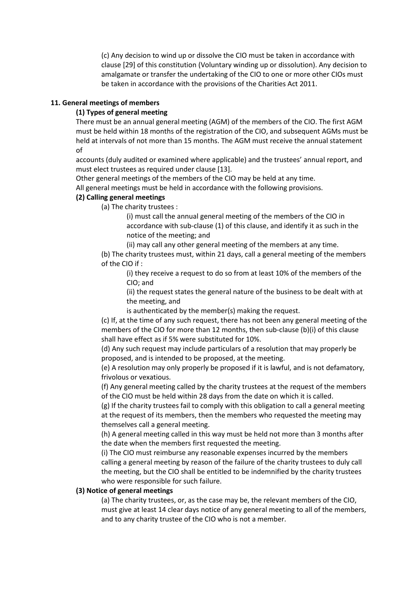(c) Any decision to wind up or dissolve the CIO must be taken in accordance with clause [29] of this constitution (Voluntary winding up or dissolution). Any decision to amalgamate or transfer the undertaking of the CIO to one or more other CIOs must be taken in accordance with the provisions of the Charities Act 2011.

### **11. General meetings of members**

# **(1) Types of general meeting**

There must be an annual general meeting (AGM) of the members of the CIO. The first AGM must be held within 18 months of the registration of the CIO, and subsequent AGMs must be held at intervals of not more than 15 months. The AGM must receive the annual statement of

accounts (duly audited or examined where applicable) and the trustees' annual report, and must elect trustees as required under clause [13].

Other general meetings of the members of the CIO may be held at any time.

All general meetings must be held in accordance with the following provisions.

# **(2) Calling general meetings**

(a) The charity trustees :

(i) must call the annual general meeting of the members of the CIO in accordance with sub-clause (1) of this clause, and identify it as such in the notice of the meeting; and

(ii) may call any other general meeting of the members at any time.

(b) The charity trustees must, within 21 days, call a general meeting of the members of the CIO if :

(i) they receive a request to do so from at least 10% of the members of the CIO; and

(ii) the request states the general nature of the business to be dealt with at the meeting, and

is authenticated by the member(s) making the request.

(c) If, at the time of any such request, there has not been any general meeting of the members of the CIO for more than 12 months, then sub-clause (b)(i) of this clause shall have effect as if 5% were substituted for 10%.

(d) Any such request may include particulars of a resolution that may properly be proposed, and is intended to be proposed, at the meeting.

(e) A resolution may only properly be proposed if it is lawful, and is not defamatory, frivolous or vexatious.

(f) Any general meeting called by the charity trustees at the request of the members of the CIO must be held within 28 days from the date on which it is called.

(g) If the charity trustees fail to comply with this obligation to call a general meeting at the request of its members, then the members who requested the meeting may themselves call a general meeting.

(h) A general meeting called in this way must be held not more than 3 months after the date when the members first requested the meeting.

(i) The CIO must reimburse any reasonable expenses incurred by the members calling a general meeting by reason of the failure of the charity trustees to duly call the meeting, but the CIO shall be entitled to be indemnified by the charity trustees who were responsible for such failure.

### **(3) Notice of general meetings**

(a) The charity trustees, or, as the case may be, the relevant members of the CIO, must give at least 14 clear days notice of any general meeting to all of the members, and to any charity trustee of the CIO who is not a member.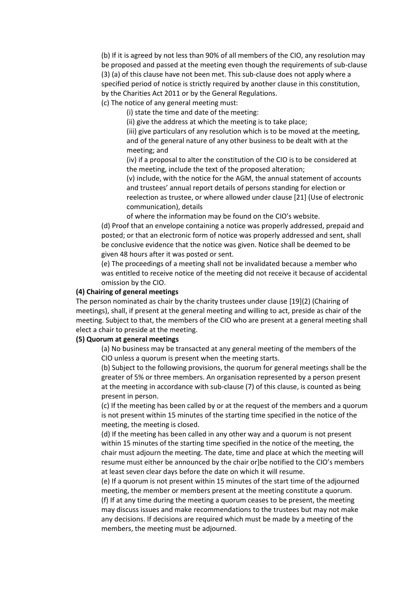(b) If it is agreed by not less than 90% of all members of the CIO, any resolution may be proposed and passed at the meeting even though the requirements of sub-clause (3) (a) of this clause have not been met. This sub-clause does not apply where a specified period of notice is strictly required by another clause in this constitution, by the Charities Act 2011 or by the General Regulations.

(c) The notice of any general meeting must:

(i) state the time and date of the meeting:

(ii) give the address at which the meeting is to take place;

(iii) give particulars of any resolution which is to be moved at the meeting, and of the general nature of any other business to be dealt with at the meeting; and

(iv) if a proposal to alter the constitution of the CIO is to be considered at the meeting, include the text of the proposed alteration;

(v) include, with the notice for the AGM, the annual statement of accounts and trustees' annual report details of persons standing for election or reelection as trustee, or where allowed under clause [21] (Use of electronic communication), details

of where the information may be found on the CIO's website.

(d) Proof that an envelope containing a notice was properly addressed, prepaid and posted; or that an electronic form of notice was properly addressed and sent, shall be conclusive evidence that the notice was given. Notice shall be deemed to be given 48 hours after it was posted or sent.

(e) The proceedings of a meeting shall not be invalidated because a member who was entitled to receive notice of the meeting did not receive it because of accidental omission by the CIO.

#### **(4) Chairing of general meetings**

The person nominated as chair by the charity trustees under clause [19](2) (Chairing of meetings), shall, if present at the general meeting and willing to act, preside as chair of the meeting. Subject to that, the members of the CIO who are present at a general meeting shall elect a chair to preside at the meeting.

#### **(5) Quorum at general meetings**

(a) No business may be transacted at any general meeting of the members of the CIO unless a quorum is present when the meeting starts.

(b) Subject to the following provisions, the quorum for general meetings shall be the greater of 5% or three members. An organisation represented by a person present at the meeting in accordance with sub-clause (7) of this clause, is counted as being present in person.

(c) If the meeting has been called by or at the request of the members and a quorum is not present within 15 minutes of the starting time specified in the notice of the meeting, the meeting is closed.

(d) If the meeting has been called in any other way and a quorum is not present within 15 minutes of the starting time specified in the notice of the meeting, the chair must adjourn the meeting. The date, time and place at which the meeting will resume must either be announced by the chair or]be notified to the CIO's members at least seven clear days before the date on which it will resume.

(e) If a quorum is not present within 15 minutes of the start time of the adjourned meeting, the member or members present at the meeting constitute a quorum. (f) If at any time during the meeting a quorum ceases to be present, the meeting may discuss issues and make recommendations to the trustees but may not make any decisions. If decisions are required which must be made by a meeting of the members, the meeting must be adjourned.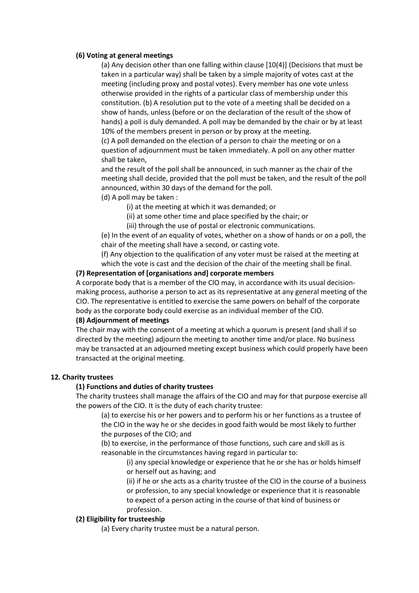#### **(6) Voting at general meetings**

(a) Any decision other than one falling within clause [10(4)] (Decisions that must be taken in a particular way) shall be taken by a simple majority of votes cast at the meeting (including proxy and postal votes). Every member has one vote unless otherwise provided in the rights of a particular class of membership under this constitution. (b) A resolution put to the vote of a meeting shall be decided on a show of hands, unless (before or on the declaration of the result of the show of hands) a poll is duly demanded. A poll may be demanded by the chair or by at least 10% of the members present in person or by proxy at the meeting.

(c) A poll demanded on the election of a person to chair the meeting or on a question of adjournment must be taken immediately. A poll on any other matter shall be taken,

and the result of the poll shall be announced, in such manner as the chair of the meeting shall decide, provided that the poll must be taken, and the result of the poll announced, within 30 days of the demand for the poll. (d) A poll may be taken :

(i) at the meeting at which it was demanded; or

- (ii) at some other time and place specified by the chair; or
- (iii) through the use of postal or electronic communications.

(e) In the event of an equality of votes, whether on a show of hands or on a poll, the chair of the meeting shall have a second, or casting vote.

(f) Any objection to the qualification of any voter must be raised at the meeting at which the vote is cast and the decision of the chair of the meeting shall be final.

#### **(7) Representation of [organisations and] corporate members**

A corporate body that is a member of the CIO may, in accordance with its usual decisionmaking process, authorise a person to act as its representative at any general meeting of the CIO. The representative is entitled to exercise the same powers on behalf of the corporate body as the corporate body could exercise as an individual member of the CIO.

#### **(8) Adjournment of meetings**

The chair may with the consent of a meeting at which a quorum is present (and shall if so directed by the meeting) adjourn the meeting to another time and/or place. No business may be transacted at an adjourned meeting except business which could properly have been transacted at the original meeting.

### **12. Charity trustees**

#### **(1) Functions and duties of charity trustees**

The charity trustees shall manage the affairs of the CIO and may for that purpose exercise all the powers of the CIO. It is the duty of each charity trustee:

(a) to exercise his or her powers and to perform his or her functions as a trustee of the CIO in the way he or she decides in good faith would be most likely to further the purposes of the CIO; and

(b) to exercise, in the performance of those functions, such care and skill as is reasonable in the circumstances having regard in particular to:

(i) any special knowledge or experience that he or she has or holds himself or herself out as having; and

(ii) if he or she acts as a charity trustee of the CIO in the course of a business or profession, to any special knowledge or experience that it is reasonable to expect of a person acting in the course of that kind of business or profession.

#### **(2) Eligibility for trusteeship**

(a) Every charity trustee must be a natural person.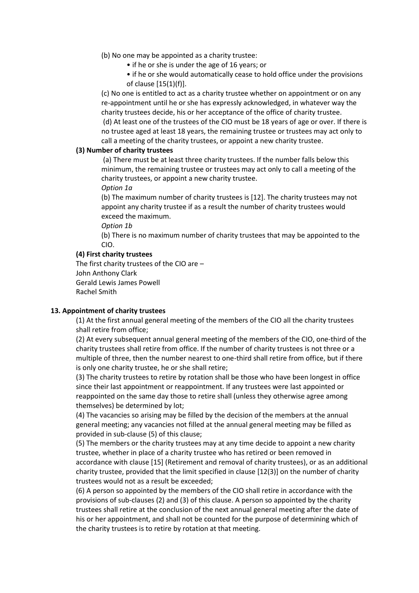- (b) No one may be appointed as a charity trustee:
	- if he or she is under the age of 16 years; or
	- if he or she would automatically cease to hold office under the provisions of clause [15(1)(f)].

(c) No one is entitled to act as a charity trustee whether on appointment or on any re-appointment until he or she has expressly acknowledged, in whatever way the charity trustees decide, his or her acceptance of the office of charity trustee. (d) At least one of the trustees of the CIO must be 18 years of age or over. If there is no trustee aged at least 18 years, the remaining trustee or trustees may act only to call a meeting of the charity trustees, or appoint a new charity trustee.

#### **(3) Number of charity trustees**

(a) There must be at least three charity trustees. If the number falls below this minimum, the remaining trustee or trustees may act only to call a meeting of the charity trustees, or appoint a new charity trustee.

*Option 1a*

(b) The maximum number of charity trustees is [12]. The charity trustees may not appoint any charity trustee if as a result the number of charity trustees would exceed the maximum.

*Option 1b*

(b) There is no maximum number of charity trustees that may be appointed to the CIO.

#### **(4) First charity trustees**

The first charity trustees of the CIO are – John Anthony Clark Gerald Lewis James Powell Rachel Smith

#### **13. Appointment of charity trustees**

(1) At the first annual general meeting of the members of the CIO all the charity trustees shall retire from office;

(2) At every subsequent annual general meeting of the members of the CIO, one-third of the charity trustees shall retire from office. If the number of charity trustees is not three or a multiple of three, then the number nearest to one-third shall retire from office, but if there is only one charity trustee, he or she shall retire;

(3) The charity trustees to retire by rotation shall be those who have been longest in office since their last appointment or reappointment. If any trustees were last appointed or reappointed on the same day those to retire shall (unless they otherwise agree among themselves) be determined by lot;

(4) The vacancies so arising may be filled by the decision of the members at the annual general meeting; any vacancies not filled at the annual general meeting may be filled as provided in sub-clause (5) of this clause;

(5) The members or the charity trustees may at any time decide to appoint a new charity trustee, whether in place of a charity trustee who has retired or been removed in accordance with clause [15] (Retirement and removal of charity trustees), or as an additional charity trustee, provided that the limit specified in clause [12(3)] on the number of charity trustees would not as a result be exceeded;

(6) A person so appointed by the members of the CIO shall retire in accordance with the provisions of sub-clauses (2) and (3) of this clause. A person so appointed by the charity trustees shall retire at the conclusion of the next annual general meeting after the date of his or her appointment, and shall not be counted for the purpose of determining which of the charity trustees is to retire by rotation at that meeting.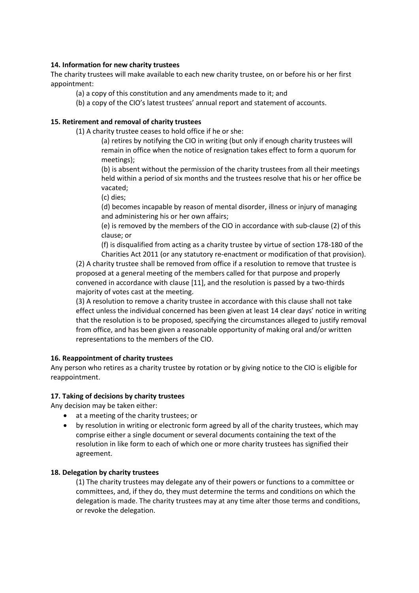# **14. Information for new charity trustees**

The charity trustees will make available to each new charity trustee, on or before his or her first appointment:

- (a) a copy of this constitution and any amendments made to it; and
- (b) a copy of the CIO's latest trustees' annual report and statement of accounts.

### **15. Retirement and removal of charity trustees**

(1) A charity trustee ceases to hold office if he or she:

(a) retires by notifying the CIO in writing (but only if enough charity trustees will remain in office when the notice of resignation takes effect to form a quorum for meetings);

(b) is absent without the permission of the charity trustees from all their meetings held within a period of six months and the trustees resolve that his or her office be vacated;

(c) dies;

(d) becomes incapable by reason of mental disorder, illness or injury of managing and administering his or her own affairs;

(e) is removed by the members of the CIO in accordance with sub-clause (2) of this clause; or

(f) is disqualified from acting as a charity trustee by virtue of section 178-180 of the Charities Act 2011 (or any statutory re-enactment or modification of that provision).

(2) A charity trustee shall be removed from office if a resolution to remove that trustee is proposed at a general meeting of the members called for that purpose and properly convened in accordance with clause [11], and the resolution is passed by a two-thirds majority of votes cast at the meeting.

(3) A resolution to remove a charity trustee in accordance with this clause shall not take effect unless the individual concerned has been given at least 14 clear days' notice in writing that the resolution is to be proposed, specifying the circumstances alleged to justify removal from office, and has been given a reasonable opportunity of making oral and/or written representations to the members of the CIO.

### **16. Reappointment of charity trustees**

Any person who retires as a charity trustee by rotation or by giving notice to the CIO is eligible for reappointment.

### **17. Taking of decisions by charity trustees**

Any decision may be taken either:

- at a meeting of the charity trustees; or
- by resolution in writing or electronic form agreed by all of the charity trustees, which may comprise either a single document or several documents containing the text of the resolution in like form to each of which one or more charity trustees has signified their agreement.

### **18. Delegation by charity trustees**

(1) The charity trustees may delegate any of their powers or functions to a committee or committees, and, if they do, they must determine the terms and conditions on which the delegation is made. The charity trustees may at any time alter those terms and conditions, or revoke the delegation.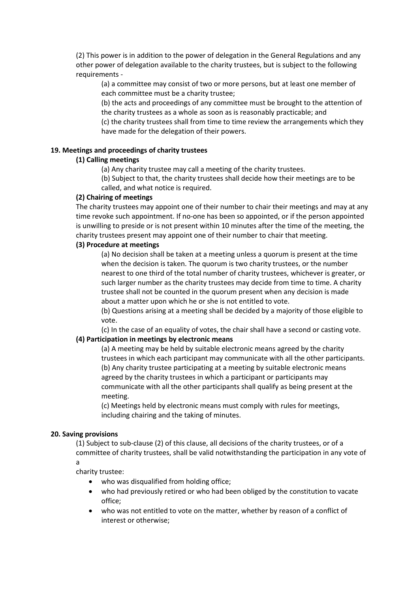(2) This power is in addition to the power of delegation in the General Regulations and any other power of delegation available to the charity trustees, but is subject to the following requirements -

(a) a committee may consist of two or more persons, but at least one member of each committee must be a charity trustee;

(b) the acts and proceedings of any committee must be brought to the attention of the charity trustees as a whole as soon as is reasonably practicable; and

(c) the charity trustees shall from time to time review the arrangements which they have made for the delegation of their powers.

### **19. Meetings and proceedings of charity trustees**

# **(1) Calling meetings**

(a) Any charity trustee may call a meeting of the charity trustees.

(b) Subject to that, the charity trustees shall decide how their meetings are to be called, and what notice is required.

# **(2) Chairing of meetings**

The charity trustees may appoint one of their number to chair their meetings and may at any time revoke such appointment. If no-one has been so appointed, or if the person appointed is unwilling to preside or is not present within 10 minutes after the time of the meeting, the charity trustees present may appoint one of their number to chair that meeting.

# **(3) Procedure at meetings**

(a) No decision shall be taken at a meeting unless a quorum is present at the time when the decision is taken. The quorum is two charity trustees, or the number nearest to one third of the total number of charity trustees, whichever is greater, or such larger number as the charity trustees may decide from time to time. A charity trustee shall not be counted in the quorum present when any decision is made about a matter upon which he or she is not entitled to vote.

(b) Questions arising at a meeting shall be decided by a majority of those eligible to vote.

(c) In the case of an equality of votes, the chair shall have a second or casting vote.

# **(4) Participation in meetings by electronic means**

(a) A meeting may be held by suitable electronic means agreed by the charity trustees in which each participant may communicate with all the other participants. (b) Any charity trustee participating at a meeting by suitable electronic means agreed by the charity trustees in which a participant or participants may communicate with all the other participants shall qualify as being present at the meeting.

(c) Meetings held by electronic means must comply with rules for meetings, including chairing and the taking of minutes.

### **20. Saving provisions**

(1) Subject to sub-clause (2) of this clause, all decisions of the charity trustees, or of a committee of charity trustees, shall be valid notwithstanding the participation in any vote of

a

# charity trustee:

- who was disqualified from holding office;
- who had previously retired or who had been obliged by the constitution to vacate office;
- who was not entitled to vote on the matter, whether by reason of a conflict of interest or otherwise;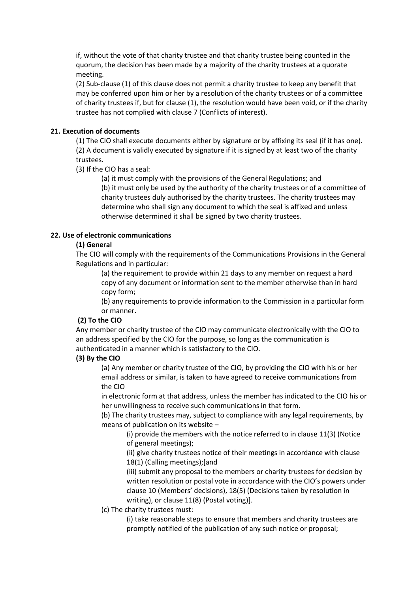if, without the vote of that charity trustee and that charity trustee being counted in the quorum, the decision has been made by a majority of the charity trustees at a quorate meeting.

(2) Sub-clause (1) of this clause does not permit a charity trustee to keep any benefit that may be conferred upon him or her by a resolution of the charity trustees or of a committee of charity trustees if, but for clause (1), the resolution would have been void, or if the charity trustee has not complied with clause 7 (Conflicts of interest).

# **21. Execution of documents**

(1) The CIO shall execute documents either by signature or by affixing its seal (if it has one). (2) A document is validly executed by signature if it is signed by at least two of the charity trustees.

(3) If the CIO has a seal:

(a) it must comply with the provisions of the General Regulations; and (b) it must only be used by the authority of the charity trustees or of a committee of charity trustees duly authorised by the charity trustees. The charity trustees may determine who shall sign any document to which the seal is affixed and unless otherwise determined it shall be signed by two charity trustees.

# **22. Use of electronic communications**

# **(1) General**

The CIO will comply with the requirements of the Communications Provisions in the General Regulations and in particular:

(a) the requirement to provide within 21 days to any member on request a hard copy of any document or information sent to the member otherwise than in hard copy form;

(b) any requirements to provide information to the Commission in a particular form or manner.

### **(2) To the CIO**

Any member or charity trustee of the CIO may communicate electronically with the CIO to an address specified by the CIO for the purpose, so long as the communication is authenticated in a manner which is satisfactory to the CIO.

### **(3) By the CIO**

(a) Any member or charity trustee of the CIO, by providing the CIO with his or her email address or similar, is taken to have agreed to receive communications from the CIO

in electronic form at that address, unless the member has indicated to the CIO his or her unwillingness to receive such communications in that form.

(b) The charity trustees may, subject to compliance with any legal requirements, by means of publication on its website –

(i) provide the members with the notice referred to in clause 11(3) (Notice of general meetings);

(ii) give charity trustees notice of their meetings in accordance with clause 18(1) (Calling meetings);[and

(iii) submit any proposal to the members or charity trustees for decision by written resolution or postal vote in accordance with the CIO's powers under clause 10 (Members' decisions), 18(5) (Decisions taken by resolution in writing), or clause 11(8) (Postal voting)].

(c) The charity trustees must:

(i) take reasonable steps to ensure that members and charity trustees are promptly notified of the publication of any such notice or proposal;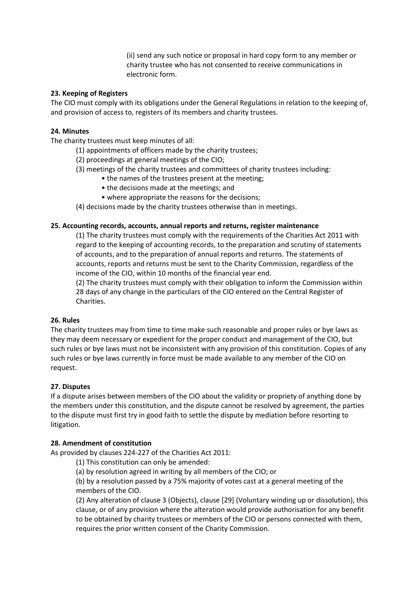(ii) send any such notice or proposal in hard copy form to any member or charity trustee who has not consented to receive communications in electronic form.

# **23. Keeping of Registers**

The CIO must comply with its obligations under the General Regulations in relation to the keeping of, and provision of access to, registers of its members and charity trustees.

### **24. Minutes**

The charity trustees must keep minutes of all:

- (1) appointments of officers made by the charity trustees;
- (2) proceedings at general meetings of the CIO;
- (3) meetings of the charity trustees and committees of charity trustees including:
	- the names of the trustees present at the meeting;
	- the decisions made at the meetings; and
	- where appropriate the reasons for the decisions;
- (4) decisions made by the charity trustees otherwise than in meetings.

### **25. Accounting records, accounts, annual reports and returns, register maintenance**

(1) The charity trustees must comply with the requirements of the Charities Act 2011 with regard to the keeping of accounting records, to the preparation and scrutiny of statements of accounts, and to the preparation of annual reports and returns. The statements of accounts, reports and returns must be sent to the Charity Commission, regardless of the income of the CIO, within 10 months of the financial year end.

(2) The charity trustees must comply with their obligation to inform the Commission within 28 days of any change in the particulars of the CIO entered on the Central Register of Charities.

### **26. Rules**

The charity trustees may from time to time make such reasonable and proper rules or bye laws as they may deem necessary or expedient for the proper conduct and management of the CIO, but such rules or bye laws must not be inconsistent with any provision of this constitution. Copies of any such rules or bye laws currently in force must be made available to any member of the CIO on request.

### **27. Disputes**

If a dispute arises between members of the CIO about the validity or propriety of anything done by the members under this constitution, and the dispute cannot be resolved by agreement, the parties to the dispute must first try in good faith to settle the dispute by mediation before resorting to litigation.

### **28. Amendment of constitution**

As provided by clauses 224-227 of the Charities Act 2011:

- (1) This constitution can only be amended:
- (a) by resolution agreed in writing by all members of the CIO; or

(b) by a resolution passed by a 75% majority of votes cast at a general meeting of the members of the CIO.

(2) Any alteration of clause 3 (Objects), clause [29] (Voluntary winding up or dissolution), this clause, or of any provision where the alteration would provide authorisation for any benefit to be obtained by charity trustees or members of the CIO or persons connected with them, requires the prior written consent of the Charity Commission.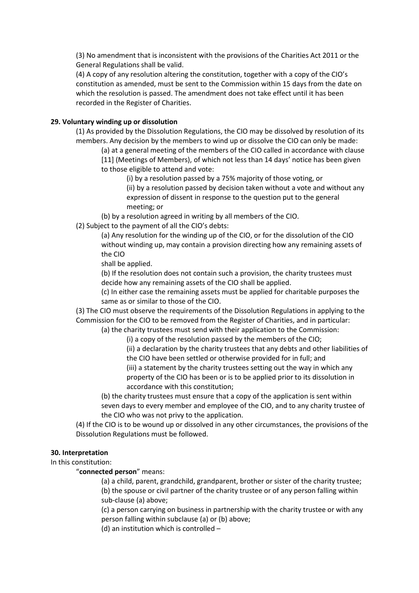(3) No amendment that is inconsistent with the provisions of the Charities Act 2011 or the General Regulations shall be valid.

(4) A copy of any resolution altering the constitution, together with a copy of the CIO's constitution as amended, must be sent to the Commission within 15 days from the date on which the resolution is passed. The amendment does not take effect until it has been recorded in the Register of Charities.

### **29. Voluntary winding up or dissolution**

(1) As provided by the Dissolution Regulations, the CIO may be dissolved by resolution of its members. Any decision by the members to wind up or dissolve the CIO can only be made:

(a) at a general meeting of the members of the CIO called in accordance with clause

[11] (Meetings of Members), of which not less than 14 days' notice has been given to those eligible to attend and vote:

(i) by a resolution passed by a 75% majority of those voting, or

(ii) by a resolution passed by decision taken without a vote and without any expression of dissent in response to the question put to the general meeting; or

(b) by a resolution agreed in writing by all members of the CIO.

(2) Subject to the payment of all the CIO's debts:

(a) Any resolution for the winding up of the CIO, or for the dissolution of the CIO without winding up, may contain a provision directing how any remaining assets of the CIO

shall be applied.

(b) If the resolution does not contain such a provision, the charity trustees must decide how any remaining assets of the CIO shall be applied.

(c) In either case the remaining assets must be applied for charitable purposes the same as or similar to those of the CIO.

(3) The CIO must observe the requirements of the Dissolution Regulations in applying to the Commission for the CIO to be removed from the Register of Charities, and in particular:

(a) the charity trustees must send with their application to the Commission:

(i) a copy of the resolution passed by the members of the CIO; (ii) a declaration by the charity trustees that any debts and other liabilities of the CIO have been settled or otherwise provided for in full; and

(iii) a statement by the charity trustees setting out the way in which any property of the CIO has been or is to be applied prior to its dissolution in accordance with this constitution;

(b) the charity trustees must ensure that a copy of the application is sent within seven days to every member and employee of the CIO, and to any charity trustee of the CIO who was not privy to the application.

(4) If the CIO is to be wound up or dissolved in any other circumstances, the provisions of the Dissolution Regulations must be followed.

# **30. Interpretation**

In this constitution:

"**connected person**" means:

(a) a child, parent, grandchild, grandparent, brother or sister of the charity trustee; (b) the spouse or civil partner of the charity trustee or of any person falling within sub-clause (a) above;

(c) a person carrying on business in partnership with the charity trustee or with any person falling within subclause (a) or (b) above;

(d) an institution which is controlled –